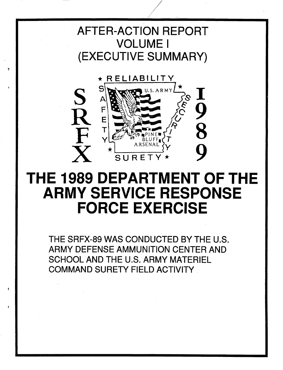## AFTER-ACTION REPORT VOLUME I (EXECUTIVE SUMMARY)

I/



# THE 1989 DEPARTMENT OF THE ARMY SERVICE RESPONSE FORCE EXERCISE

THE SRFX-89 WAS CONDUCTED BY THE U.S. ARMY DEFENSE AMMUNITION CENTER AND SCHOOL AND THE U.S. ARMY MATERIEL COMMAND SURETY FIELD ACTIVITY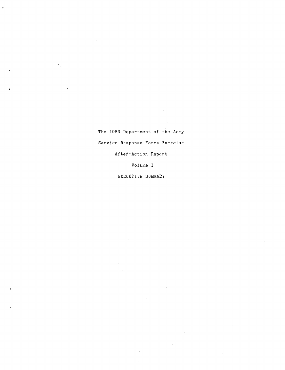The 1989 Department of the Army Service Response Force Exercise After-Action Report

l,

Volume I

EXECUTIVE SUMMARY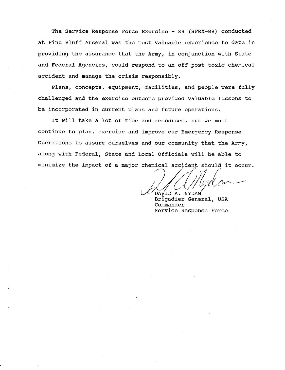The Service Response Force Exercise - 89 (SFRX-89) conducted at Pine Bluff Arsenal was the most valuable experience to date in providing the assurance that the Army, in conjunction with State and Federal Agencies, could respond to an off-post toxic chemical accident and manage the crisis responsibly.

Plans, concepts, equipment, facilities, and people were fully challenged and the exercise outcome provided valuable lessons to be incorporated in current plans and future operations.

It will take a lot of time and resources, but we must continue to plan, exercise and improve our Emergency Response Operations to assure ourselves and our community that the Army, along with Federal, State and Local Officials will be able to minimize the impact of a major chemical accident should it occur.

david a. nydam

Brigadier General, USA Commander Service Response Force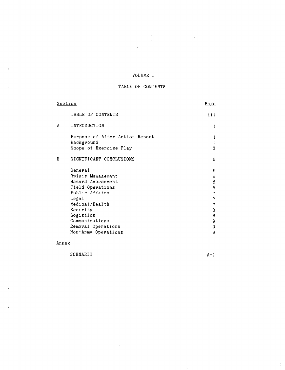## VOLUME I

### TABLE OF CONTENTS

| <b>Section</b>                                                                                                                                                                                             | Page                                                                                            |
|------------------------------------------------------------------------------------------------------------------------------------------------------------------------------------------------------------|-------------------------------------------------------------------------------------------------|
| TABLE OF CONTENTS                                                                                                                                                                                          | 111                                                                                             |
| INTRODUCTION<br>Α                                                                                                                                                                                          | l                                                                                               |
| Purpose of After Action Report<br>Background<br>Scope of Exercise Play                                                                                                                                     | l<br>l<br>3                                                                                     |
| B<br>SIGNIFICANT CONCLUSIONS                                                                                                                                                                               | 5                                                                                               |
| General<br>Crisis Management<br>Hazard Assessment<br>Field Operations<br>Public Affairs<br>Legal<br>Medical/Health<br>Security<br>Logistics<br>Communications<br>Removal Operations<br>Non-Army Operations | 5<br>6<br>6<br>6<br>γ<br>$\mathbf{r}_{\mathcal{J}}$<br>7<br>8<br>8<br>$\Theta$<br>$\bf{Q}$<br>9 |

Annex

## SCENARIO  $A-1$

 $\frac{1}{4}$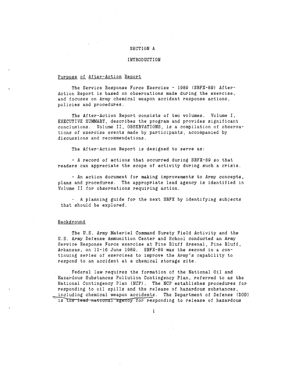#### SECTION A

#### INTRODUCTION

#### Purpose of After-Action Report

The Service Response Force Exercise - 1989 (SRFX-89) After-Action Report is based on observations made during the exercise, and focuses on Army chemical weapon accident response actions, policies and procedures.

The After-Action Report consists of two volumes. Volume I, EXECUTIVE SUMMARY, describes the program and provides significant conclusions. Volume II, OBSERVATIONS, is a compilation of observations of exercise events made by participants, accompanied by discussions and recommendations.

The After-Action Report is designed to serve as:

- A record of actions that occurred during SRFX-89 so that readers can appreciate the scope of activity during such a crisis.

- An action document for making improvements to Army concepts, plans and procedures. The appropriate lead agency is identified in Volume II for observations requiring action.

- A planning guide for the next SRFX by identifying subjects that should be explored.

#### Background

The U.S. Army Materiel Command Surety Field Activity and the U.S. Army Defense Ammunition Center and School conducted an Army Service Response Force exercise at Pine Bluff Arsenal, Pine Bluff, Arkansas, on 12-16 June 1989. SRFX-89 was the second in a continuing series of exercises to improve the Army's capability to respond to an accident at a chemical storage site.

Federal law requires the formation of the National Oil and Hazardous Substances Pollution Contingency Plan, referred to as the National Contingency Plan (NCP). The NCP establishes procedures for responding to oil spills and the release of hazardous substances, including chemical weapon accidents. The Department of Defense (DOD) is the lead national agency for responding to release of hazardous

1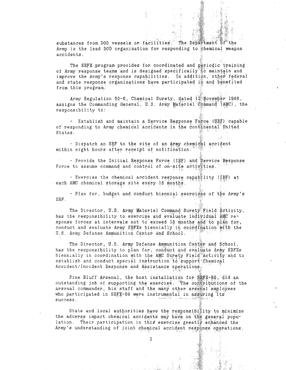substances from DOD vessels or facilities. The Department of the **Army** is **the** lead DOD organization for responding to chemical weapon accidents.

The SRFX program provides for coordinated and periodic training of **Army** response teams and is designed specifically to maintain and improve the Army's response capabilities. In addition, other federal and state response organizations have participated in and benefited from this program.

Army Regulation 50-6, Chemical Surety, dated 12 November 1986, assigns the Commanding General, U.S. Army Materiel Command (AMC), the responsibility to:

- Establish and maintain a Service Response Force (SRF) capable of responding to Army chemical accidents in the continental United States .

- Dispatch an SRF to the site of an Army chemical accident within eight hours after receipt of *notification.*

- Provide the Initial Response Force (IRF) and Service Response Force to assume command and control of on-site activities.

- Exercise the chemical accident response capability (IRF) at each AMC chemical storage site every 18 months.

- Plan for, budget and conduct biennial exercises of the Army's Srf.

The Director, U.S. Army Materiel Command Surety Field Activity, has the responsibility to exercise and evaluate individual amc response forces at intervals not to exceed 18 months and to plan for, conduct and evaluate Army SRFXs biennially in coordination with the u.s. army Defense Ammunition center and school.

The Director, U.S. Army Defense Ammunition Center and School, has the responsibility to plan for, conduct and evaluate Army SRFXs biennially in coordination with the AMC Surety Field Activity and to establish and conduct special instruction to support Chemical Accident/Incident Response and Assistance operations.

Pine Bluff Arsenal, the host installation for SRFX-89, did an outstanding job of supporting the exercise. The contributions of the arsenal commander, his staff and the many other arsenal employees who participated in SRFX-89 were instrumental in assuring its success.

State and local authorities have the responsibility to minimize the adverse impact chemical accidents may have on the general population. Their participation in this exercise greatly enhanced the Army's understanding of joint chemical accident response operations.

2

- t: :~~~~~~~~~~~~~~~~I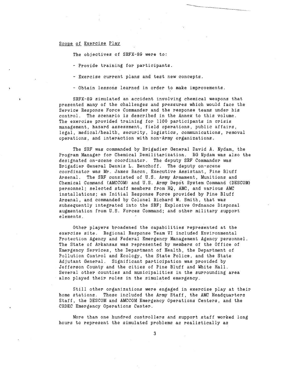#### Scope of Exercise Play

The objectives of SRFX-89 were to:

- Provide training for participants.
- Exercise current plans and test new concepts.
- Obtain lessons learned in order to make improvements.

SRFX-89 simulated an accident involving chemical weapons that presented many of the challenges and pressures which would face the Service Response Force Commander and the response teams under his control. The scenario is described in the Annex to this volume. The exercise provided training for 1100 participants in crisis management, hazard assessment, field operations, public affairs, legal, medical/health, security, logistics, communications, removal operations, and interaction with non-Army organizations.

The SRF was commanded by Brigadier General David A. Nydam, the Program Manager for Chemical Demilitarization. Bg Nydam was also the designated on-scene coordinator. The deputy SRF Commander was Brigadier General Dennis L. Benchoff. The deputy on-scene coordinator was Mr. James Bacon, Executive Assistant, Pine Bluff Arsenal. The SRF consisted of U.S. Army Armament, Munitions and Chemical Command (AMCCOM) and U.S. Army Depot System Command (DESCOM) personnel; selected staff members from HQ, AMC, and various AMC installations; an Initial Response Force provided by Pine Bluff Arsenal, and commanded by Colonel Richard W. Smith, that was subsequently integrated into the SRF; Explosive Ordnance Disposal augmentation from U.S. Forces Command; and other military support elements.

Other players broadened the capabilities represented at the exercise site. Regional Response Team VI included Environmental Protection Agency and Federal Emergency Management Agency personnel. The State of Arkansas was represented by members of the Office of Emergency Services, the Department of Health, the Department of Pollution Control and Ecology, the State Police, and the State Adjutant General. Significant participation was provided by Jefferson County and the cities of Pine Bluff and White Hall. Several other counties and municipalities in the surrounding area also played their roles in the simulated emergency.

Still other organizations were engaged in exercise play at their home stations. These included the Army Staff, the AMC Headquarters Staff, the DESCOM and AMCCOM Emergency Operations Centers, and the CRDEC Emergency Operations Center.

More than one hundred controllers and support staff worked long hours to represent the simulated problems as realistically as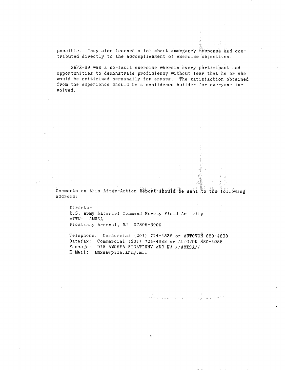possible. They also learned a lot about emergency response and contributed directly to the accomplishment of exercise objectives.

SRFX-89 was a no-fault exercise wherein every participant had opportunities to demonstrate proficiency without fear that he or she would be criticized personally for errors. The satisfaction obtained **from** the experience should be a confidence builder for everyone involved.

comments on this After-Action Report should be sent to the following **address:**

 $\ddot{\hat{i}}$ : j

 $\frac{1}{2}$ 

Director **U.** S. **Army** Materiel Command Surety Field Activity ATTN: AMxSA Picatinny Arsenal, NJ 07806-5000

Telephone: Commercial (201) 724-4838 or AUTOVON 880-4838 Datafax: Commercial (201) 724-4988 or AUTOV0N 880-4988 Message: DIR AMCSFA PICATINNY ARS NJ //AMXSA// E-Mail: amxsa@pica.army.mil

4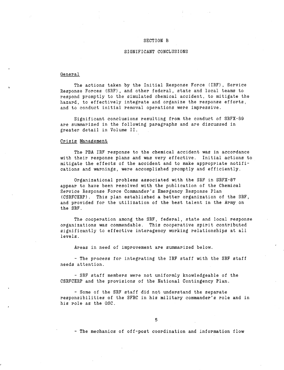#### SECTION B

#### SIGNIFICANT CONCLUSIONS

#### General

The actions taken by the Initial Response Force (IRF), Service Response Forces (SRF), and other federal, state and local teams to respond promptly to the simulated chemical accident, to mitigate the hazard, to effectively integrate and organize the response efforts, and to conduct initial removal operations were impressive.

Significant conclusions resulting from the conduct of SRFX-89 are summarized in the following paragraphs and are discussed in greater detail in Volume II.

#### Crisis Management

The PBA IRF response to the chemical accident was in accordance with their response plans and was very effective. Initial actions to mitigate the effects of the accident and to make appropriate notifications and warnings, were accomplished promptly and efficiently.

Organizational problems associated with the SRF in SRFX-87 appear to have been resolved with the publication of the Chemical Service Response Force Commander's Emergency Response Plan (CSRFCERP). This plan established a better organization of the SRF, and provided for the utilization of the best talent in the Army on the SRF.

The cooperation among the SRF, federal, state and local response organizations was commendable. This cooperative spirit contributed significantly to effective interagency working relationships at all levels.

Areas in need of improvement are summarized below.

- The process for integrating the IRF staff with the SRF staff needs attention.

- SRF staff members were not uniformly knowledgeable of the CSRFCERP and the provisions of the National Contingency Plan.

- Some of the SRF staff did not understand the separate responsibilities of the SFRC in his military commander's role and in his role as the OSC.

- The mechanics of off-post coordination and information flow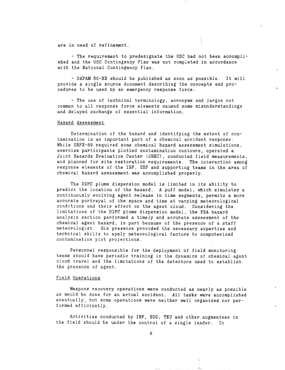are in need **of** refinement.

- The requirement to predesignate the OSC had not been accomplished and the OSC Contingency Plan was not completed in accordance with the National Contingency Plan.

- DAPAM 50-XX should be published as soon as possible. It will provide a single source document describing the concepts and procedures to be used by an emergency response force.

- The use of technical terminology, acronyms and jargon not common to all response force elements caused some misunderstandings and delayed exchange of essential information.

#### Hazard Assessment

Determination of the hazard and identifying the extent of contamination is an important part of a chemical accident response. While SRFX-89 required some chemical hazard assessment simulations. exercise participants plotted contamination contours, operated a Joint Hazards Evaluation Center (JHEC), conducted field measurements, and planned for site restoration requirements. The interaction among response elements of the IRF, SRF and supporting teams in the area of chemical hazard assessment was accomplished properly.

The D2PC plume dispersion model is limited in its ability to predict the location of the hazard. A puff model, which simulates a continuously evolving agent release in time segments, permits a more accurate portrayal of the space and time at varying meteorological conditions and their effect on the agent cloud. Considering the limitations of the D2PC plume dispersion model, the PBA hazard analysis section performed a timely and accurate assessment of the chemical agent hazard, in part because of the presence of a staff meteorologist. His presence provided the necessary expertise and technical skills to apply meteorological factors to computerized contamination plot projections.

Personnel responsible for the deployment of field monitoring teams should have periodic training in the dynamics of chemical agent cloud travel and the limitations of the detectors used to establish the presence of agent.

#### Field Operations

Weapons recovery operations were conducted as nearly as possible as would be done for an actual accident. All tasks were accomplished eventually, but some operations were neither well organized nor performed efficiently.

Activities conducted by IRF, EOD, TEU and other augmentees in the field should be under the control of a single leader. In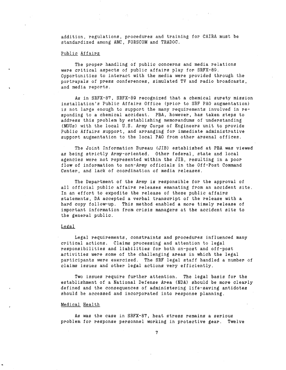addition, regulations, procedures and training for CAIRA must be standardized among AMC, FORSCOM and TRADOC.

#### Public Affairs

The proper handling of public concerns and media relations were critical aspects of public affairs play for SRFX-89. Opportunities to interact with the media were provided through the portrayals of press conferences, simulated TV and radio broadcasts, and media reports.

As in SRFX-87, SRFX-89 recognized that a chemical surety mission installation's Public Affairs Office (prior to SRF PAO augmentation) is not large enough to support the many requirements involved in responding to a chemical accident. PBA, however, has taken steps to address this problem by establishing memorandums of understanding (MOUs) with the local U.S. Army Corps of Engineers unit to provide Public Affairs support, and arranging for immediate administrative support augmentation to the local PAO from other arsenal offices.

The Joint Information Bureau (JIB) established at PBA was viewed as being strictly Army-oriented. Other federal, state and local agencies were not represented within the JIB, resulting in a poor flow of information to non-Army officials in the Off-Post Command Center, and lack of coordination of media releases.

The Department of the Army is responsible for the approval of all official public affairs releases emanating from an accident site. In an effort to expedite the release of these public affairs statements, DA accepted a verbal transcript of the release with a hard copy follow-up. This method enabled a more timely release of important information from crisis managers at the accident site to the general public.

#### Legal

Legal requirements, constraints and procedures influenced many critical actions. Claims processing and attention to legal responsibilities and liabilities for both on-post and off-post activities were some of the challenging areas in which the legal participants were exercised. The SRF legal staff handled a number of claims issues and other legal actions very efficiently.

Two issues require further attention. The legal basis for the establishment of a National Defense Area (NDA) should be more clearly defined and the consequences of administering life-saving antidotes should be accessed and incorporated into response planning.

#### Medical Health

As was the case in SRFX-87, heat stress remains a serious problem for response personnel working in protective gear. Twelve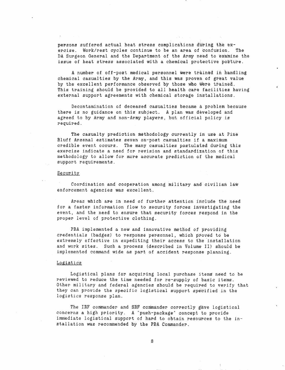persons suffered actual heat stress complications during the exercise. Work/rest cycles continue to be an area of confusion. The DA Surgeon General and the Department of the Army need to examine the issue of heat stress associated with a chemical protective posture.

A number of off-post medical personnel were trained in handling chemical casualties by the Army, **and** this was proven of great value by the excellent performance observed by those who were trained. This training should be provided to all health care facilities having external support agreements with chemical storage installations.

Decontamination of deceased casualties became a problem because there is no guidance on this subject. A plan was developed and agreed to by Army and non-Army players, but official policy is required.

The casualty prediction methodology currently in use at Pine Bluff Arsenal estimates seven on-post casualties if a maximum credible event occurs. The many casualties postulated during this exercise indicate a need for revision and standardization of this methodology to allow for more accurate prediction of the medical support requirements.

#### Security

 $\sigma \rightarrow 0$ 

Coordination and cooperation among military and civilian law enforcement agencies was excellent.

Areas which are in need of further attention include the need for a faster information flow to security forces investigating the event, and the need to ensure that security forces respond in the proper level of protective clothing.

PBA implemented a new and innovative method of providing credentials (badges) to response **personnel,** which proved to be extremely effective in expediting their access to the installation and work sites. Such a process (described in Volume II) should be implemented command wide as part of accident response planning.

#### Logistics

Logistical plans for acquiring local purchase items need to be reviewed to reduce the time needed for re-supply of basic items. Other military and federal agencies should be required to verify that they can provide the specific logistical support specified in the logistics response plan.

The IRF commander and SRF commander correctly gave logistical concerns a high priority. A "push-package" concept to provide immediate logistical support of hard to obtain resources to the installation was recommended by the pBA Commander.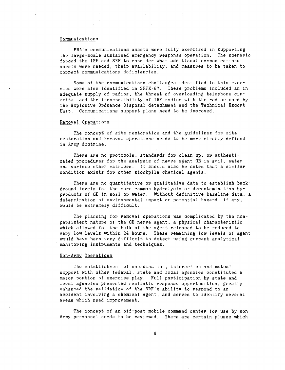#### Communications

PBA's communications assets were fully exercised in supporting the large-scale sustained emergency response operation. The scenario forced the IRF and SRF to consider what additional communications assets were needed, their availability, and measures to be taken to correct communications deficiencies.

Some of the communications challenges identified in this exercise were also identified in SRFX-87. These problems included an inadequate supply of radios, the threat of overloading telephone circuits, and the incompatibility of IRF radios with the radios used by the Explosive Ordnance Disposal detachment and the Technical Escort Unit. Communications support plans need to be improved.

#### Removal Operations

The concept of site restoration and the guidelines for site restoration and removal operations needs to be more clearly defined in Army doctrine.

There are no protocols, standards for clean-up, or authenticated procedures for the analysis of nerve agent GB in soil, water and various other matrices. It should also be noted that a similar condition exists for other stockpile chemical agents.

There are no quantitative or qualitative data to establish background levels for the more common hydrolysis or decontamination byproducts of GB in soil or water. Without definitive baseline data, a determination of environmental impact or potential hazard, if any, would be extremely difficult.

The planning for removal operations was complicated by the nonpersistent nature of the GB nerve agent, a physical characteristic which allowed for the bulk of the agent released to be reduced to very low levels within 24 hours. These remaining low levels of agent would have been very difficult to detect using current analytical monitoring instruments and techniques.

#### Non-Army Operations

The establishment of coordination, interaction and mutual support with other federal, state and local agencies constituted a major portion of exercise play. Full participation by state and local agencies presented realistic response opportunities, greatly enhanced the validation of the SRF's ability to respond to an accident involving a chemical agent, and served to identify several areas which need improvement.

The concept of an off-post mobile command center for use by non-Army personnel needs to be reviewed. There are certain pluses which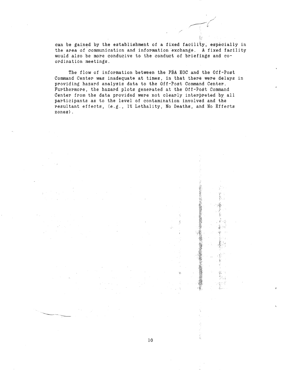can be gained by the establishment of a fixed facility, especially in the area of communication and information exchange. A fixed facility would also be more conducive to the conduct of briefings and coordination meetings.

The flow of information between the PbA EOC and the Off-Post Command Center was inadequate at times, in that there were delays in providing hazard analysis data to the Off-Post Command Center. Furthermore, the hazard plots generated at the Off-Post Command Center from the data provided were not clearly interpreted by all participants as to the level of contamination involved and the resultant effects, (e.g., 1% Lethality, No Deaths, and No Effects zones).

 $\frac{d}{dt}$ 

ia.

10